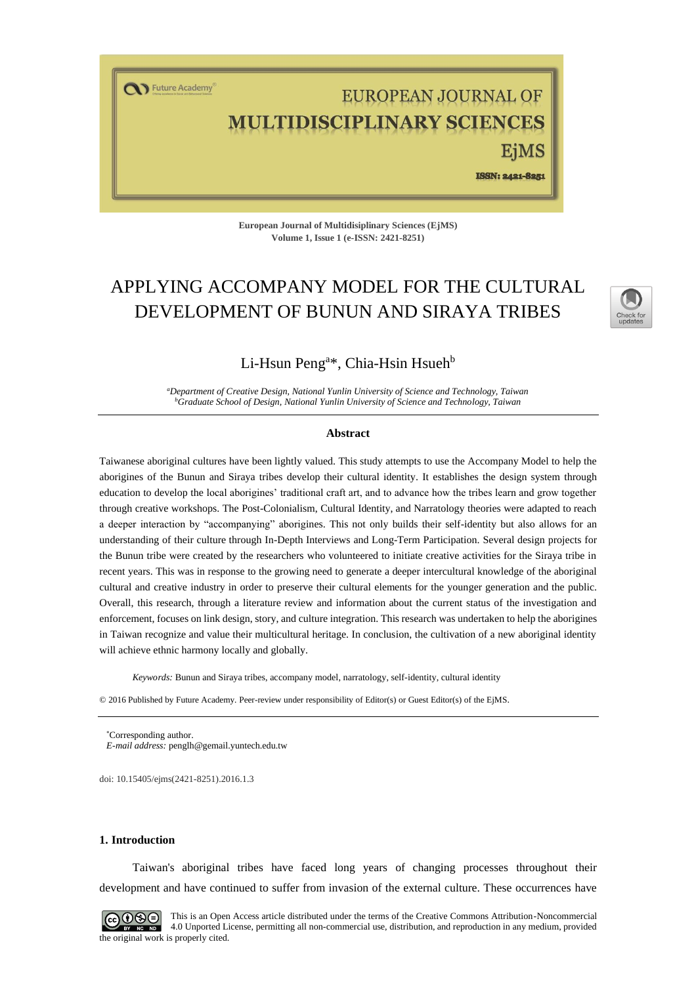T Future Academy

# EUROPEAN JOURNAL OF **LTIDISCIPLINARY SCIENCES**

EiMS ISSN: 2421-8251

**European Journal of Multidisiplinary Sciences (EjMS) Volume 1, Issue 1 (e-ISSN: 2421-8251)**

## APPLYING ACCOMPANY MODEL FOR THE CULTURAL DEVELOPMENT OF BUNUN AND SIRAYA TRIBES



### Li-Hsun Peng<sup>a\*</sup>, Chia-Hsin Hsueh<sup>b</sup>

*<sup>a</sup>Department of Creative Design, National Yunlin University of Science and Technology, Taiwan <sup>b</sup>Graduate School of Design, National Yunlin University of Science and Technology, Taiwan*

#### **Abstract**

Taiwanese aboriginal cultures have been lightly valued. This study attempts to use the Accompany Model to help the aborigines of the Bunun and Siraya tribes develop their cultural identity. It establishes the design system through education to develop the local aborigines' traditional craft art, and to advance how the tribes learn and grow together through creative workshops. The Post-Colonialism, Cultural Identity, and Narratology theories were adapted to reach a deeper interaction by "accompanying" aborigines. This not only builds their self-identity but also allows for an understanding of their culture through In-Depth Interviews and Long-Term Participation. Several design projects for the Bunun tribe were created by the researchers who volunteered to initiate creative activities for the Siraya tribe in recent years. This was in response to the growing need to generate a deeper intercultural knowledge of the aboriginal cultural and creative industry in order to preserve their cultural elements for the younger generation and the public. Overall, this research, through a literature review and information about the current status of the investigation and enforcement, focuses on link design, story, and culture integration. This research was undertaken to help the aborigines in Taiwan recognize and value their multicultural heritage. In conclusion, the cultivation of a new aboriginal identity will achieve ethnic harmony locally and globally.

*Keywords:* Bunun and Siraya tribes, accompany model, narratology, self-identity, cultural identity

© 2016 Published by Future Academy. Peer-review under responsibility of Editor(s) or Guest Editor(s) of the EjMS.

Corresponding author. *E-mail address:* [penglh@gemail.yuntech.edu.tw](mailto:penglh@gemail.yuntech.edu.tw)

doi[: 10.15405/ejms\(2421-8251\).2016.1.3](https://doi.org/10.15405/ejms(2421-8251).2016.1.3)

#### **1. Introduction**

Taiwan's aboriginal tribes have faced long years of changing processes throughout their development and have continued to suffer from invasion of the external culture. These occurrences have



This is an Open Access article distributed under the terms of the Creative Commons Attribution-Noncommercial 4.0 Unported License, permitting all non-commercial use, distribution, and reproduction in any medium, provided the original work is properly cited.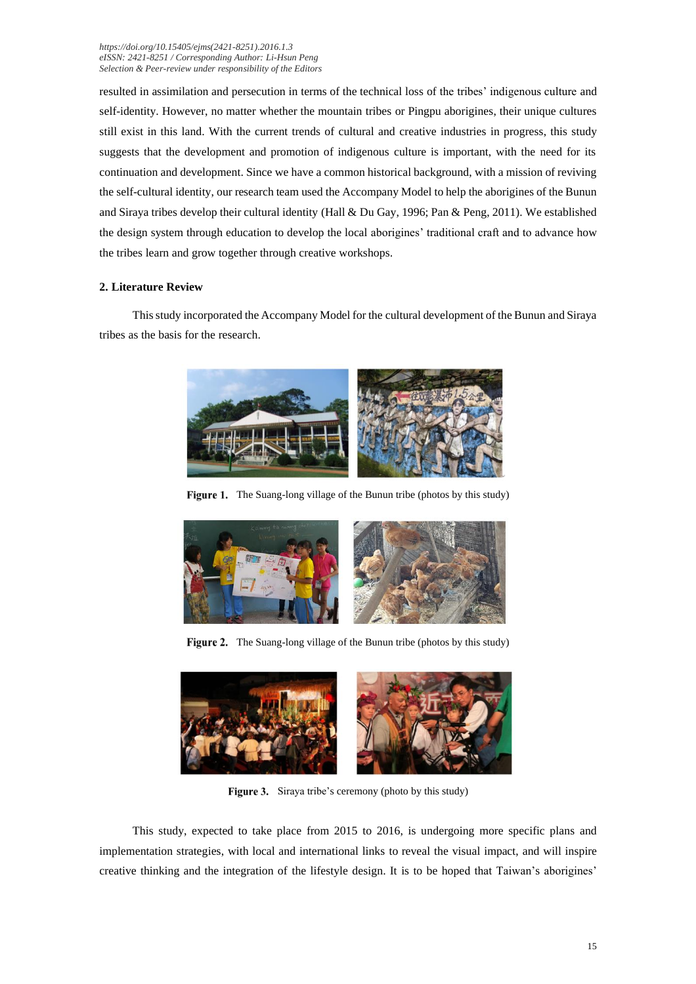#### *[https://doi.org/1](https://doi.org/)0.15405/ejms(2421-8251).2016.1.3 eISSN: 2421-8251 / Corresponding Author: Li-Hsun Peng Selection & Peer-review under responsibility of the Editors*

resulted in assimilation and persecution in terms of the technical loss of the tribes' indigenous culture and self-identity. However, no matter whether the mountain tribes or Pingpu aborigines, their unique cultures still exist in this land. With the current trends of cultural and creative industries in progress, this study suggests that the development and promotion of indigenous culture is important, with the need for its continuation and development. Since we have a common historical background, with a mission of reviving the self-cultural identity, our research team used the Accompany Model to help the aborigines of the Bunun and Siraya tribes develop their cultural identity (Hall & Du Gay, 1996; Pan & Peng, 2011). We established the design system through education to develop the local aborigines' traditional craft and to advance how the tribes learn and grow together through creative workshops.

#### **2. Literature Review**

This study incorporated the Accompany Model for the cultural development of the Bunun and Siraya tribes as the basis for the research.



Figure 1. The Suang-long village of the Bunun tribe (photos by this study)



Figure 2. The Suang-long village of the Bunun tribe (photos by this study)



Figure 3. Siraya tribe's ceremony (photo by this study)

This study, expected to take place from 2015 to 2016, is undergoing more specific plans and implementation strategies, with local and international links to reveal the visual impact, and will inspire creative thinking and the integration of the lifestyle design. It is to be hoped that Taiwan's aborigines'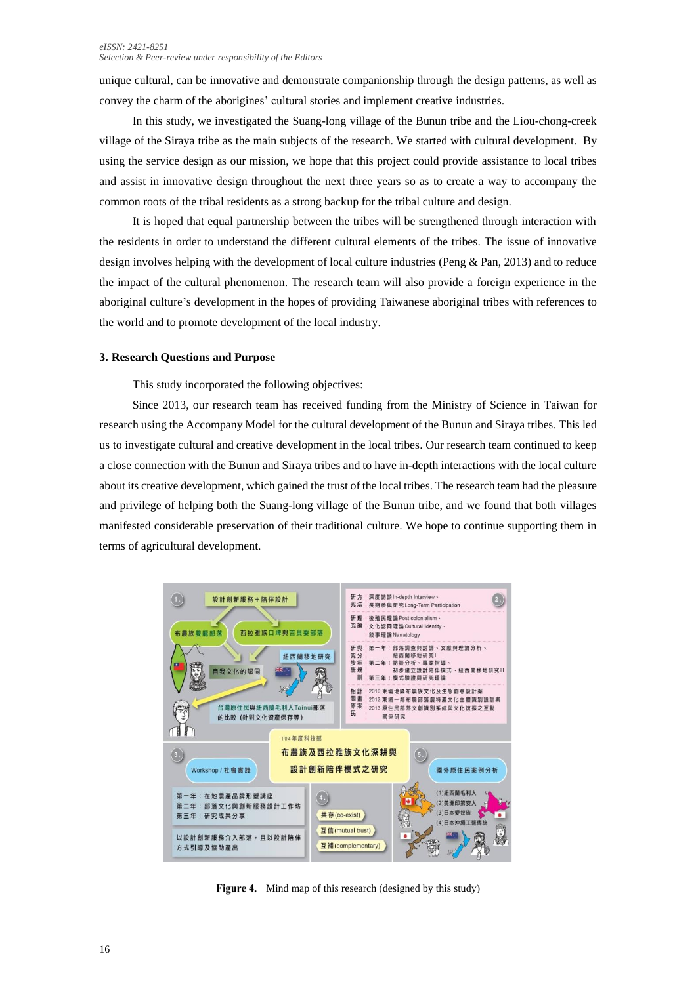#### *eISSN: 2421-8251 Selection & Peer-review under responsibility of the Editors*

unique cultural, can be innovative and demonstrate companionship through the design patterns, as well as convey the charm of the aborigines' cultural stories and implement creative industries.

In this study, we investigated the Suang-long village of the Bunun tribe and the Liou-chong-creek village of the Siraya tribe as the main subjects of the research. We started with cultural development. By using the service design as our mission, we hope that this project could provide assistance to local tribes and assist in innovative design throughout the next three years so as to create a way to accompany the common roots of the tribal residents as a strong backup for the tribal culture and design.

It is hoped that equal partnership between the tribes will be strengthened through interaction with the residents in order to understand the different cultural elements of the tribes. The issue of innovative design involves helping with the development of local culture industries (Peng & Pan, 2013) and to reduce the impact of the cultural phenomenon. The research team will also provide a foreign experience in the aboriginal culture's development in the hopes of providing Taiwanese aboriginal tribes with references to the world and to promote development of the local industry.

#### **3. Research Questions and Purpose**

This study incorporated the following objectives:

Since 2013, our research team has received funding from the Ministry of Science in Taiwan for research using the Accompany Model for the cultural development of the Bunun and Siraya tribes. This led us to investigate cultural and creative development in the local tribes. Our research team continued to keep a close connection with the Bunun and Siraya tribes and to have in-depth interactions with the local culture about its creative development, which gained the trust of the local tribes. The research team had the pleasure and privilege of helping both the Suang-long village of the Bunun tribe, and we found that both villages manifested considerable preservation of their traditional culture. We hope to continue supporting them in terms of agricultural development.



Figure 4. Mind map of this research (designed by this study)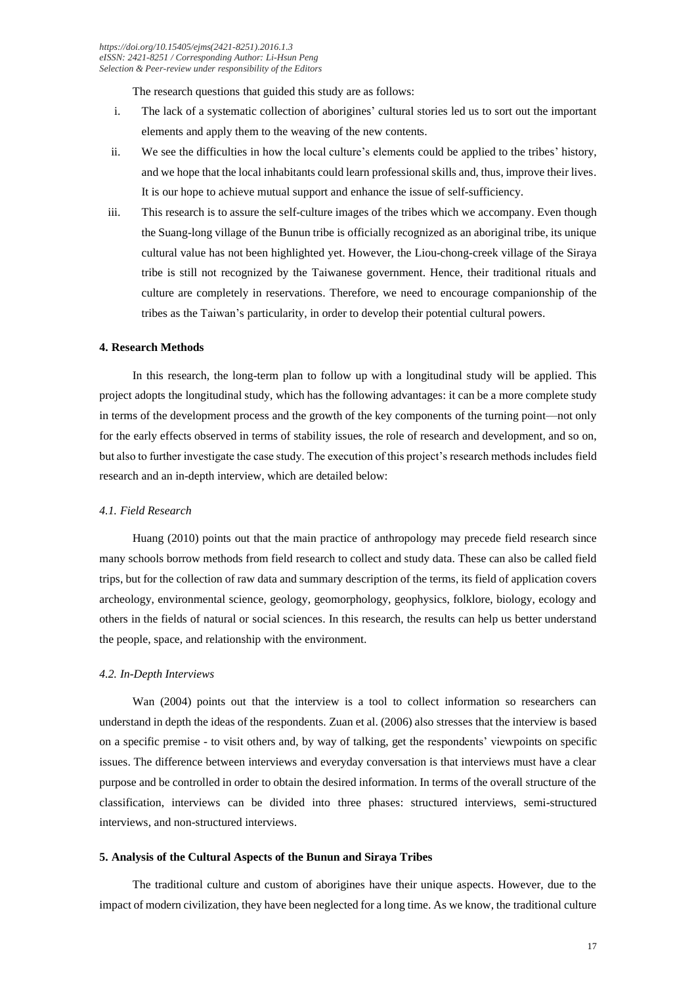The research questions that guided this study are as follows:

- i. The lack of a systematic collection of aborigines' cultural stories led us to sort out the important elements and apply them to the weaving of the new contents.
- ii. We see the difficulties in how the local culture's elements could be applied to the tribes' history, and we hope that the local inhabitants could learn professional skills and, thus, improve their lives. It is our hope to achieve mutual support and enhance the issue of self-sufficiency.
- iii. This research is to assure the self-culture images of the tribes which we accompany. Even though the Suang-long village of the Bunun tribe is officially recognized as an aboriginal tribe, its unique cultural value has not been highlighted yet. However, the Liou-chong-creek village of the Siraya tribe is still not recognized by the Taiwanese government. Hence, their traditional rituals and culture are completely in reservations. Therefore, we need to encourage companionship of the tribes as the Taiwan's particularity, in order to develop their potential cultural powers.

#### **4. Research Methods**

In this research, the long-term plan to follow up with a longitudinal study will be applied. This project adopts the longitudinal study, which has the following advantages: it can be a more complete study in terms of the development process and the growth of the key components of the turning point—not only for the early effects observed in terms of stability issues, the role of research and development, and so on, but also to further investigate the case study. The execution of this project's research methods includes field research and an in-depth interview, which are detailed below:

#### *4.1. Field Research*

Huang (2010) points out that the main practice of anthropology may precede field research since many schools borrow methods from field research to collect and study data. These can also be called field trips, but for the collection of raw data and summary description of the terms, its field of application covers archeology, environmental science, geology, geomorphology, geophysics, folklore, biology, ecology and others in the fields of natural or social sciences. In this research, the results can help us better understand the people, space, and relationship with the environment.

#### *4.2. In-Depth Interviews*

Wan (2004) points out that the interview is a tool to collect information so researchers can understand in depth the ideas of the respondents. Zuan et al. (2006) also stresses that the interview is based on a specific premise - to visit others and, by way of talking, get the respondents' viewpoints on specific issues. The difference between interviews and everyday conversation is that interviews must have a clear purpose and be controlled in order to obtain the desired information. In terms of the overall structure of the classification, interviews can be divided into three phases: structured interviews, semi-structured interviews, and non-structured interviews.

#### **5. Analysis of the Cultural Aspects of the Bunun and Siraya Tribes**

The traditional culture and custom of aborigines have their unique aspects. However, due to the impact of modern civilization, they have been neglected for a long time. As we know, the traditional culture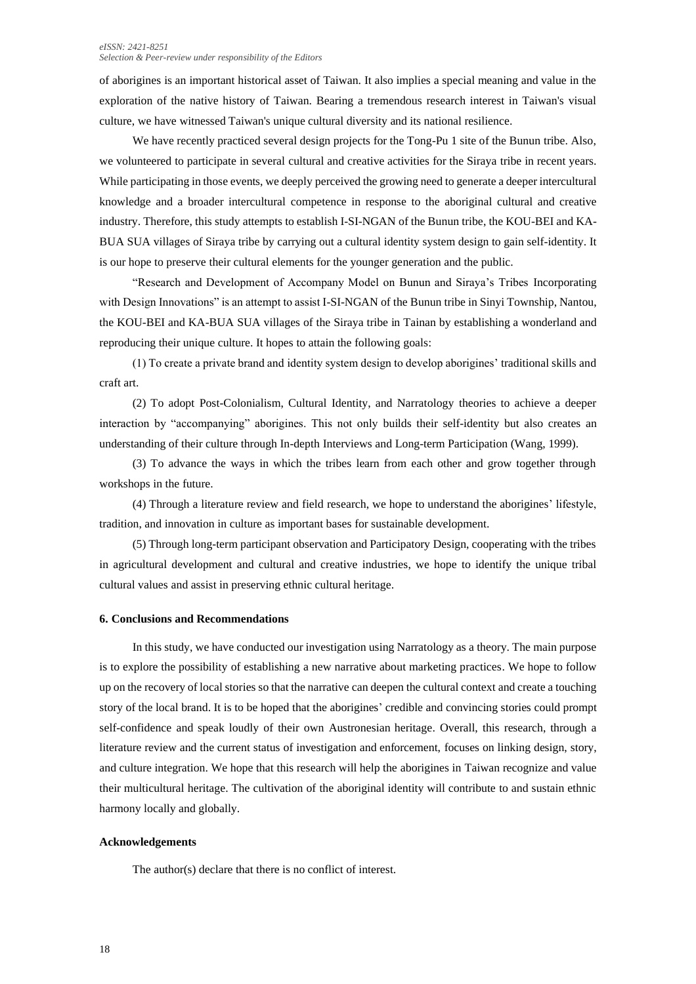#### *eISSN: 2421-8251 Selection & Peer-review under responsibility of the Editors*

of aborigines is an important historical asset of Taiwan. It also implies a special meaning and value in the exploration of the native history of Taiwan. Bearing a tremendous research interest in Taiwan's visual culture, we have witnessed Taiwan's unique cultural diversity and its national resilience.

We have recently practiced several design projects for the Tong-Pu 1 site of the Bunun tribe. Also, we volunteered to participate in several cultural and creative activities for the Siraya tribe in recent years. While participating in those events, we deeply perceived the growing need to generate a deeper intercultural knowledge and a broader intercultural competence in response to the aboriginal cultural and creative industry. Therefore, this study attempts to establish I-SI-NGAN of the Bunun tribe, the KOU-BEI and KA-BUA SUA villages of Siraya tribe by carrying out a cultural identity system design to gain self-identity. It is our hope to preserve their cultural elements for the younger generation and the public.

"Research and Development of Accompany Model on Bunun and Siraya's Tribes Incorporating with Design Innovations" is an attempt to assist I-SI-NGAN of the Bunun tribe in Sinyi Township, Nantou, the KOU-BEI and KA-BUA SUA villages of the Siraya tribe in Tainan by establishing a wonderland and reproducing their unique culture. It hopes to attain the following goals:

(1) To create a private brand and identity system design to develop aborigines' traditional skills and craft art.

(2) To adopt Post-Colonialism, Cultural Identity, and Narratology theories to achieve a deeper interaction by "accompanying" aborigines. This not only builds their self-identity but also creates an understanding of their culture through In-depth Interviews and Long-term Participation (Wang, 1999).

(3) To advance the ways in which the tribes learn from each other and grow together through workshops in the future.

(4) Through a literature review and field research, we hope to understand the aborigines' lifestyle, tradition, and innovation in culture as important bases for sustainable development.

(5) Through long-term participant observation and Participatory Design, cooperating with the tribes in agricultural development and cultural and creative industries, we hope to identify the unique tribal cultural values and assist in preserving ethnic cultural heritage.

#### **6. Conclusions and Recommendations**

In this study, we have conducted our investigation using Narratology as a theory. The main purpose is to explore the possibility of establishing a new narrative about marketing practices. We hope to follow up on the recovery of local stories so that the narrative can deepen the cultural context and create a touching story of the local brand. It is to be hoped that the aborigines' credible and convincing stories could prompt self-confidence and speak loudly of their own Austronesian heritage. Overall, this research, through a literature review and the current status of investigation and enforcement, focuses on linking design, story, and culture integration. We hope that this research will help the aborigines in Taiwan recognize and value their multicultural heritage. The cultivation of the aboriginal identity will contribute to and sustain ethnic harmony locally and globally.

#### **Acknowledgements**

The author(s) declare that there is no conflict of interest.